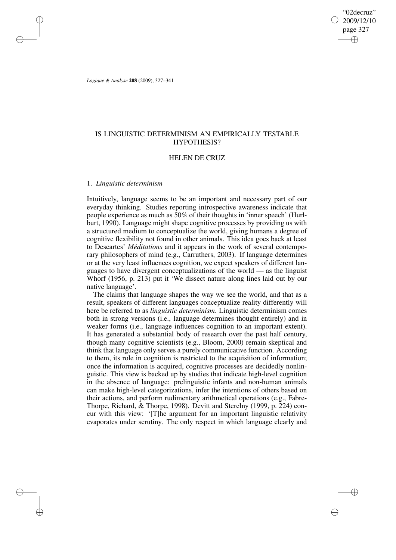"02decruz" 2009/12/10 page 327 ✐ ✐

✐

✐

*Logique & Analyse* **208** (2009), 327–341

✐

✐

✐

✐

# IS LINGUISTIC DETERMINISM AN EMPIRICALLY TESTABLE HYPOTHESIS?

# HELEN DE CRUZ

### 1. *Linguistic determinism*

Intuitively, language seems to be an important and necessary part of our everyday thinking. Studies reporting introspective awareness indicate that people experience as much as 50% of their thoughts in 'inner speech' (Hurlburt, 1990). Language might shape cognitive processes by providing us with a structured medium to conceptualize the world, giving humans a degree of cognitive flexibility not found in other animals. This idea goes back at least to Descartes' *Méditations* and it appears in the work of several contemporary philosophers of mind (e.g., Carruthers, 2003). If language determines or at the very least influences cognition, we expect speakers of different languages to have divergent conceptualizations of the world — as the linguist Whorf (1956, p. 213) put it 'We dissect nature along lines laid out by our native language'.

The claims that language shapes the way we see the world, and that as a result, speakers of different languages conceptualize reality differently will here be referred to as *linguistic determinism*. Linguistic determinism comes both in strong versions (i.e., language determines thought entirely) and in weaker forms (i.e., language influences cognition to an important extent). It has generated a substantial body of research over the past half century, though many cognitive scientists (e.g., Bloom, 2000) remain skeptical and think that language only serves a purely communicative function. According to them, its role in cognition is restricted to the acquisition of information; once the information is acquired, cognitive processes are decidedly nonlinguistic. This view is backed up by studies that indicate high-level cognition in the absence of language: prelinguistic infants and non-human animals can make high-level categorizations, infer the intentions of others based on their actions, and perform rudimentary arithmetical operations (e.g., Fabre-Thorpe, Richard, & Thorpe, 1998). Devitt and Sterelny (1999, p. 224) concur with this view: '[T]he argument for an important linguistic relativity evaporates under scrutiny. The only respect in which language clearly and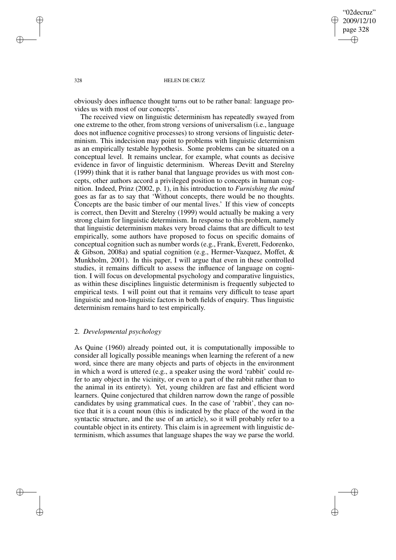"02decruz" 2009/12/10 page 328 ✐ ✐

✐

✐

### 328 HELEN DE CRUZ

obviously does influence thought turns out to be rather banal: language provides us with most of our concepts'.

The received view on linguistic determinism has repeatedly swayed from one extreme to the other, from strong versions of universalism (i.e., language does not influence cognitive processes) to strong versions of linguistic determinism. This indecision may point to problems with linguistic determinism as an empirically testable hypothesis. Some problems can be situated on a conceptual level. It remains unclear, for example, what counts as decisive evidence in favor of linguistic determinism. Whereas Devitt and Sterelny (1999) think that it is rather banal that language provides us with most concepts, other authors accord a privileged position to concepts in human cognition. Indeed, Prinz (2002, p. 1), in his introduction to *Furnishing the mind* goes as far as to say that 'Without concepts, there would be no thoughts. Concepts are the basic timber of our mental lives.' If this view of concepts is correct, then Devitt and Sterelny (1999) would actually be making a very strong claim for linguistic determinism. In response to this problem, namely that linguistic determinism makes very broad claims that are difficult to test empirically, some authors have proposed to focus on specific domains of conceptual cognition such as number words (e.g., Frank, Everett, Fedorenko, & Gibson, 2008a) and spatial cognition (e.g., Hermer-Vazquez, Moffet, & Munkholm, 2001). In this paper, I will argue that even in these controlled studies, it remains difficult to assess the influence of language on cognition. I will focus on developmental psychology and comparative linguistics, as within these disciplines linguistic determinism is frequently subjected to empirical tests. I will point out that it remains very difficult to tease apart linguistic and non-linguistic factors in both fields of enquiry. Thus linguistic determinism remains hard to test empirically.

# 2. *Developmental psychology*

As Quine (1960) already pointed out, it is computationally impossible to consider all logically possible meanings when learning the referent of a new word, since there are many objects and parts of objects in the environment in which a word is uttered (e.g., a speaker using the word 'rabbit' could refer to any object in the vicinity, or even to a part of the rabbit rather than to the animal in its entirety). Yet, young children are fast and efficient word learners. Quine conjectured that children narrow down the range of possible candidates by using grammatical cues. In the case of 'rabbit', they can notice that it is a count noun (this is indicated by the place of the word in the syntactic structure, and the use of an article), so it will probably refer to a countable object in its entirety. This claim is in agreement with linguistic determinism, which assumes that language shapes the way we parse the world.

✐

✐

✐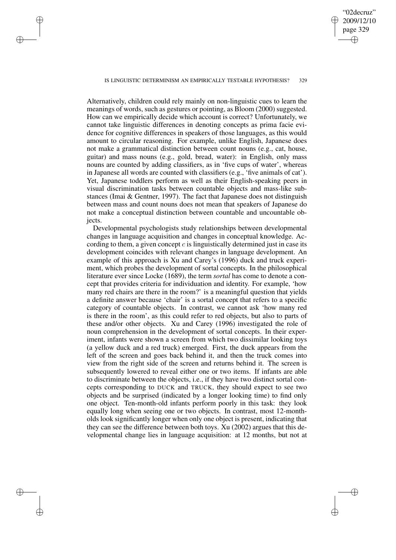"02decruz" 2009/12/10 page 329 ✐ ✐

✐

✐

#### IS LINGUISTIC DETERMINISM AN EMPIRICALLY TESTABLE HYPOTHESIS? 329

✐

✐

✐

✐

Alternatively, children could rely mainly on non-linguistic cues to learn the meanings of words, such as gestures or pointing, as Bloom (2000) suggested. How can we empirically decide which account is correct? Unfortunately, we cannot take linguistic differences in denoting concepts as prima facie evidence for cognitive differences in speakers of those languages, as this would amount to circular reasoning. For example, unlike English, Japanese does not make a grammatical distinction between count nouns (e.g., cat, house, guitar) and mass nouns (e.g., gold, bread, water): in English, only mass nouns are counted by adding classifiers, as in 'five cups of water', whereas in Japanese all words are counted with classifiers (e.g., 'five animals of cat'). Yet, Japanese toddlers perform as well as their English-speaking peers in visual discrimination tasks between countable objects and mass-like substances (Imai & Gentner, 1997). The fact that Japanese does not distinguish between mass and count nouns does not mean that speakers of Japanese do not make a conceptual distinction between countable and uncountable objects.

Developmental psychologists study relationships between developmental changes in language acquisition and changes in conceptual knowledge. According to them, a given concept c is linguistically determined just in case its development coincides with relevant changes in language development. An example of this approach is Xu and Carey's (1996) duck and truck experiment, which probes the development of sortal concepts. In the philosophical literature ever since Locke (1689), the term *sortal* has come to denote a concept that provides criteria for individuation and identity. For example, 'how many red chairs are there in the room?' is a meaningful question that yields a definite answer because 'chair' is a sortal concept that refers to a specific category of countable objects. In contrast, we cannot ask 'how many red is there in the room', as this could refer to red objects, but also to parts of these and/or other objects. Xu and Carey (1996) investigated the role of noun comprehension in the development of sortal concepts. In their experiment, infants were shown a screen from which two dissimilar looking toys (a yellow duck and a red truck) emerged. First, the duck appears from the left of the screen and goes back behind it, and then the truck comes into view from the right side of the screen and returns behind it. The screen is subsequently lowered to reveal either one or two items. If infants are able to discriminate between the objects, i.e., if they have two distinct sortal concepts corresponding to DUCK and TRUCK, they should expect to see two objects and be surprised (indicated by a longer looking time) to find only one object. Ten-month-old infants perform poorly in this task: they look equally long when seeing one or two objects. In contrast, most 12-montholds look significantly longer when only one object is present, indicating that they can see the difference between both toys. Xu (2002) argues that this developmental change lies in language acquisition: at 12 months, but not at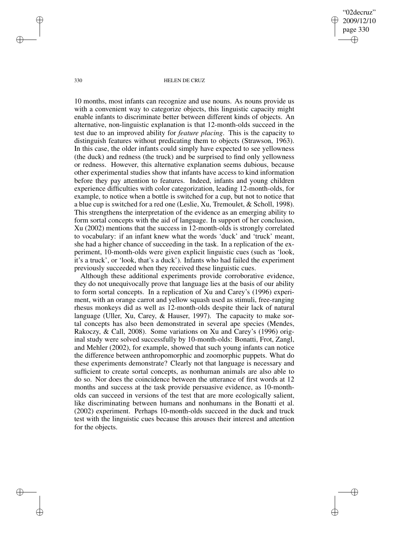"02decruz" 2009/12/10 page 330 ✐ ✐

✐

✐

### 330 HELEN DE CRUZ

10 months, most infants can recognize and use nouns. As nouns provide us with a convenient way to categorize objects, this linguistic capacity might enable infants to discriminate better between different kinds of objects. An alternative, non-linguistic explanation is that 12-month-olds succeed in the test due to an improved ability for *feature placing*. This is the capacity to distinguish features without predicating them to objects (Strawson, 1963). In this case, the older infants could simply have expected to see yellowness (the duck) and redness (the truck) and be surprised to find only yellowness or redness. However, this alternative explanation seems dubious, because other experimental studies show that infants have access to kind information before they pay attention to features. Indeed, infants and young children experience difficulties with color categorization, leading 12-month-olds, for example, to notice when a bottle is switched for a cup, but not to notice that a blue cup is switched for a red one (Leslie, Xu, Tremoulet, & Scholl, 1998). This strengthens the interpretation of the evidence as an emerging ability to form sortal concepts with the aid of language. In support of her conclusion, Xu (2002) mentions that the success in 12-month-olds is strongly correlated to vocabulary: if an infant knew what the words 'duck' and 'truck' meant, she had a higher chance of succeeding in the task. In a replication of the experiment, 10-month-olds were given explicit linguistic cues (such as 'look, it's a truck', or 'look, that's a duck'). Infants who had failed the experiment previously succeeded when they received these linguistic cues.

Although these additional experiments provide corroborative evidence, they do not unequivocally prove that language lies at the basis of our ability to form sortal concepts. In a replication of Xu and Carey's (1996) experiment, with an orange carrot and yellow squash used as stimuli, free-ranging rhesus monkeys did as well as 12-month-olds despite their lack of natural language (Uller, Xu, Carey, & Hauser, 1997). The capacity to make sortal concepts has also been demonstrated in several ape species (Mendes, Rakoczy, & Call, 2008). Some variations on Xu and Carey's (1996) original study were solved successfully by 10-month-olds: Bonatti, Frot, Zangl, and Mehler (2002), for example, showed that such young infants can notice the difference between anthropomorphic and zoomorphic puppets. What do these experiments demonstrate? Clearly not that language is necessary and sufficient to create sortal concepts, as nonhuman animals are also able to do so. Nor does the coincidence between the utterance of first words at 12 months and success at the task provide persuasive evidence, as 10-montholds can succeed in versions of the test that are more ecologically salient, like discriminating between humans and nonhumans in the Bonatti et al. (2002) experiment. Perhaps 10-month-olds succeed in the duck and truck test with the linguistic cues because this arouses their interest and attention for the objects.

✐

✐

✐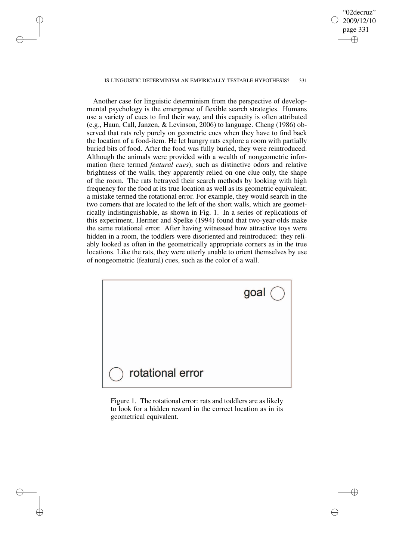#### IS LINGUISTIC DETERMINISM AN EMPIRICALLY TESTABLE HYPOTHESIS? 331

✐

✐

✐

✐

"02decruz" 2009/12/10 page 331

✐

✐

✐

✐

Another case for linguistic determinism from the perspective of developmental psychology is the emergence of flexible search strategies. Humans use a variety of cues to find their way, and this capacity is often attributed (e.g., Haun, Call, Janzen, & Levinson, 2006) to language. Cheng (1986) observed that rats rely purely on geometric cues when they have to find back the location of a food-item. He let hungry rats explore a room with partially buried bits of food. After the food was fully buried, they were reintroduced. Although the animals were provided with a wealth of nongeometric information (here termed *featural cues*), such as distinctive odors and relative brightness of the walls, they apparently relied on one clue only, the shape of the room. The rats betrayed their search methods by looking with high frequency for the food at its true location as well as its geometric equivalent; a mistake termed the rotational error. For example, they would search in the two corners that are located to the left of the short walls, which are geometrically indistinguishable, as shown in Fig. 1. In a series of replications of this experiment, Hermer and Spelke (1994) found that two-year-olds make the same rotational error. After having witnessed how attractive toys were hidden in a room, the toddlers were disoriented and reintroduced: they reliably looked as often in the geometrically appropriate corners as in the true locations. Like the rats, they were utterly unable to orient themselves by use of nongeometric (featural) cues, such as the color of a wall.



Figure 1. The rotational error: rats and toddlers are as likely to look for a hidden reward in the correct location as in its geometrical equivalent.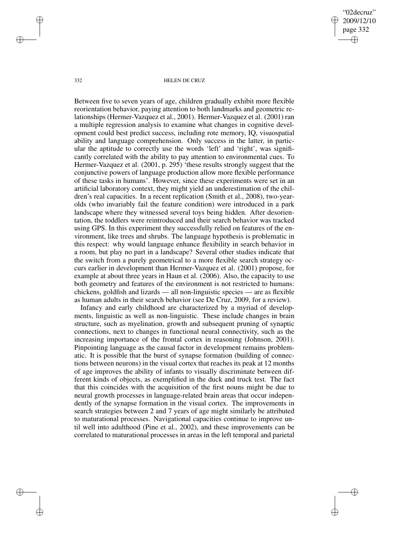"02decruz" 2009/12/10 page 332 ✐ ✐

✐

✐

#### 332 HELEN DE CRUZ

Between five to seven years of age, children gradually exhibit more flexible reorientation behavior, paying attention to both landmarks and geometric relationships (Hermer-Vazquez et al., 2001). Hermer-Vazquez et al. (2001) ran a multiple regression analysis to examine what changes in cognitive development could best predict success, including rote memory, IQ, visuospatial ability and language comprehension. Only success in the latter, in particular the aptitude to correctly use the words 'left' and 'right', was significantly correlated with the ability to pay attention to environmental cues. To Hermer-Vazquez et al. (2001, p. 295) 'these results strongly suggest that the conjunctive powers of language production allow more flexible performance of these tasks in humans'. However, since these experiments were set in an artificial laboratory context, they might yield an underestimation of the children's real capacities. In a recent replication (Smith et al., 2008), two-yearolds (who invariably fail the feature condition) were introduced in a park landscape where they witnessed several toys being hidden. After desorientation, the toddlers were reintroduced and their search behavior was tracked using GPS. In this experiment they successfully relied on features of the environment, like trees and shrubs. The language hypothesis is problematic in this respect: why would language enhance flexibility in search behavior in a room, but play no part in a landscape? Several other studies indicate that the switch from a purely geometrical to a more flexible search strategy occurs earlier in development than Hermer-Vazquez et al. (2001) propose, for example at about three years in Haun et al. (2006). Also, the capacity to use both geometry and features of the environment is not restricted to humans: chickens, goldfish and lizards — all non-linguistic species — are as flexible as human adults in their search behavior (see De Cruz, 2009, for a review).

Infancy and early childhood are characterized by a myriad of developments, linguistic as well as non-linguistic. These include changes in brain structure, such as myelination, growth and subsequent pruning of synaptic connections, next to changes in functional neural connectivity, such as the increasing importance of the frontal cortex in reasoning (Johnson, 2001). Pinpointing language as the causal factor in development remains problematic. It is possible that the burst of synapse formation (building of connections between neurons) in the visual cortex that reaches its peak at 12 months of age improves the ability of infants to visually discriminate between different kinds of objects, as exemplified in the duck and truck test. The fact that this coincides with the acquisition of the first nouns might be due to neural growth processes in language-related brain areas that occur independently of the synapse formation in the visual cortex. The improvements in search strategies between 2 and 7 years of age might similarly be attributed to maturational processes. Navigational capacities continue to improve until well into adulthood (Pine et al., 2002), and these improvements can be correlated to maturational processes in areas in the left temporal and parietal

✐

✐

✐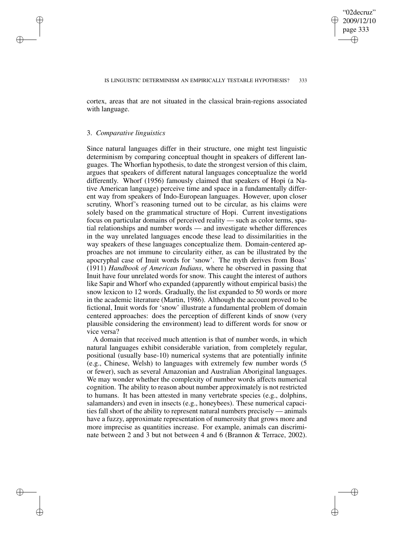✐

✐

cortex, areas that are not situated in the classical brain-regions associated with language.

### 3. *Comparative linguistics*

✐

✐

✐

✐

Since natural languages differ in their structure, one might test linguistic determinism by comparing conceptual thought in speakers of different languages. The Whorfian hypothesis, to date the strongest version of this claim, argues that speakers of different natural languages conceptualize the world differently. Whorf (1956) famously claimed that speakers of Hopi (a Native American language) perceive time and space in a fundamentally different way from speakers of Indo-European languages. However, upon closer scrutiny, Whorf's reasoning turned out to be circular, as his claims were solely based on the grammatical structure of Hopi. Current investigations focus on particular domains of perceived reality — such as color terms, spatial relationships and number words — and investigate whether differences in the way unrelated languages encode these lead to dissimilarities in the way speakers of these languages conceptualize them. Domain-centered approaches are not immune to circularity either, as can be illustrated by the apocryphal case of Inuit words for 'snow'. The myth derives from Boas' (1911) *Handbook of American Indians*, where he observed in passing that Inuit have four unrelated words for snow. This caught the interest of authors like Sapir and Whorf who expanded (apparently without empirical basis) the snow lexicon to 12 words. Gradually, the list expanded to 50 words or more in the academic literature (Martin, 1986). Although the account proved to be fictional, Inuit words for 'snow' illustrate a fundamental problem of domain centered approaches: does the perception of different kinds of snow (very plausible considering the environment) lead to different words for snow or vice versa?

A domain that received much attention is that of number words, in which natural languages exhibit considerable variation, from completely regular, positional (usually base-10) numerical systems that are potentially infinite (e.g., Chinese, Welsh) to languages with extremely few number words (5 or fewer), such as several Amazonian and Australian Aboriginal languages. We may wonder whether the complexity of number words affects numerical cognition. The ability to reason about number approximately is not restricted to humans. It has been attested in many vertebrate species (e.g., dolphins, salamanders) and even in insects (e.g., honeybees). These numerical capacities fall short of the ability to represent natural numbers precisely — animals have a fuzzy, approximate representation of numerosity that grows more and more imprecise as quantities increase. For example, animals can discriminate between 2 and 3 but not between 4 and 6 (Brannon & Terrace, 2002).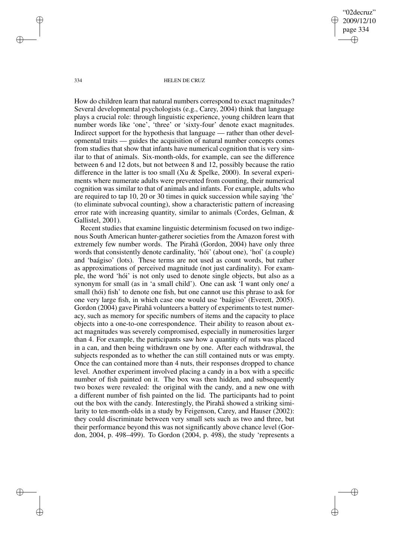"02decruz" 2009/12/10 page 334 ✐ ✐

✐

✐

#### 334 HELEN DE CRUZ

How do children learn that natural numbers correspond to exact magnitudes? Several developmental psychologists (e.g., Carey, 2004) think that language plays a crucial role: through linguistic experience, young children learn that number words like 'one', 'three' or 'sixty-four' denote exact magnitudes. Indirect support for the hypothesis that language — rather than other developmental traits — guides the acquisition of natural number concepts comes from studies that show that infants have numerical cognition that is very similar to that of animals. Six-month-olds, for example, can see the difference between 6 and 12 dots, but not between 8 and 12, possibly because the ratio difference in the latter is too small (Xu & Spelke, 2000). In several experiments where numerate adults were prevented from counting, their numerical cognition was similar to that of animals and infants. For example, adults who are required to tap 10, 20 or 30 times in quick succession while saying 'the' (to eliminate subvocal counting), show a characteristic pattern of increasing error rate with increasing quantity, similar to animals (Cordes, Gelman, & Gallistel, 2001).

Recent studies that examine linguistic determinism focused on two indigenous South American hunter-gatherer societies from the Amazon forest with extremely few number words. The Pirahã (Gordon, 2004) have only three words that consistently denote cardinality, 'hói' (about one), 'hoí' (a couple) and 'baágiso' (lots). These terms are not used as count words, but rather as approximations of perceived magnitude (not just cardinality). For example, the word 'hói' is not only used to denote single objects, but also as a synonym for small (as in 'a small child'). One can ask 'I want only one/ a small (hói) fish' to denote one fish, but one cannot use this phrase to ask for one very large fish, in which case one would use 'baágiso' (Everett, 2005). Gordon (2004) gave Pirahã volunteers a battery of experiments to test numeracy, such as memory for specific numbers of items and the capacity to place objects into a one-to-one correspondence. Their ability to reason about exact magnitudes was severely compromised, especially in numerosities larger than 4. For example, the participants saw how a quantity of nuts was placed in a can, and then being withdrawn one by one. After each withdrawal, the subjects responded as to whether the can still contained nuts or was empty. Once the can contained more than 4 nuts, their responses dropped to chance level. Another experiment involved placing a candy in a box with a specific number of fish painted on it. The box was then hidden, and subsequently two boxes were revealed: the original with the candy, and a new one with a different number of fish painted on the lid. The participants had to point out the box with the candy. Interestingly, the Pirahã showed a striking similarity to ten-month-olds in a study by Feigenson, Carey, and Hauser (2002): they could discriminate between very small sets such as two and three, but their performance beyond this was not significantly above chance level (Gordon, 2004, p. 498–499). To Gordon (2004, p. 498), the study 'represents a

✐

✐

✐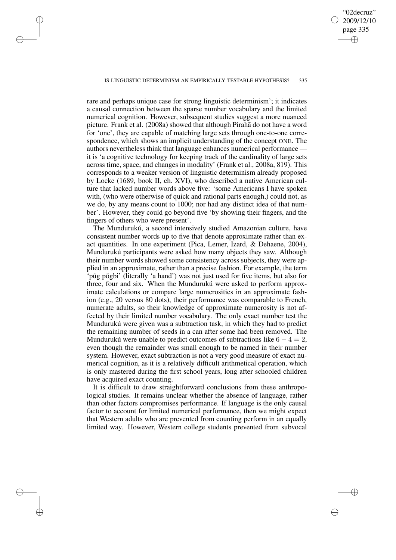## "02decruz" 2009/12/10 page 335 ✐ ✐

✐

✐

### IS LINGUISTIC DETERMINISM AN EMPIRICALLY TESTABLE HYPOTHESIS? 335

✐

✐

✐

✐

rare and perhaps unique case for strong linguistic determinism'; it indicates a causal connection between the sparse number vocabulary and the limited numerical cognition. However, subsequent studies suggest a more nuanced picture. Frank et al. (2008a) showed that although Pirahã do not have a word for 'one', they are capable of matching large sets through one-to-one correspondence, which shows an implicit understanding of the concept ONE. The authors nevertheless think that language enhances numerical performance it is 'a cognitive technology for keeping track of the cardinality of large sets across time, space, and changes in modality' (Frank et al., 2008a, 819). This corresponds to a weaker version of linguistic determinism already proposed by Locke (1689, book II, ch. XVI), who described a native American culture that lacked number words above five: 'some Americans I have spoken with, (who were otherwise of quick and rational parts enough,) could not, as we do, by any means count to 1000; nor had any distinct idea of that number'. However, they could go beyond five 'by showing their fingers, and the fingers of others who were present'.

The Mundurukú, a second intensively studied Amazonian culture, have consistent number words up to five that denote approximate rather than exact quantities. In one experiment (Pica, Lemer, Izard, & Dehaene, 2004), Mundurukú participants were asked how many objects they saw. Although their number words showed some consistency across subjects, they were applied in an approximate, rather than a precise fashion. For example, the term 'pūg põgbi' (literally 'a hand') was not just used for five items, but also for three, four and six. When the Mundurukú were asked to perform approximate calculations or compare large numerosities in an approximate fashion (e.g., 20 versus 80 dots), their performance was comparable to French, numerate adults, so their knowledge of approximate numerosity is not affected by their limited number vocabulary. The only exact number test the Mundurukú were given was a subtraction task, in which they had to predict the remaining number of seeds in a can after some had been removed. The Mundurukú were unable to predict outcomes of subtractions like  $6 - 4 = 2$ , even though the remainder was small enough to be named in their number system. However, exact subtraction is not a very good measure of exact numerical cognition, as it is a relatively difficult arithmetical operation, which is only mastered during the first school years, long after schooled children have acquired exact counting.

It is difficult to draw straightforward conclusions from these anthropological studies. It remains unclear whether the absence of language, rather than other factors compromises performance. If language is the only causal factor to account for limited numerical performance, then we might expect that Western adults who are prevented from counting perform in an equally limited way. However, Western college students prevented from subvocal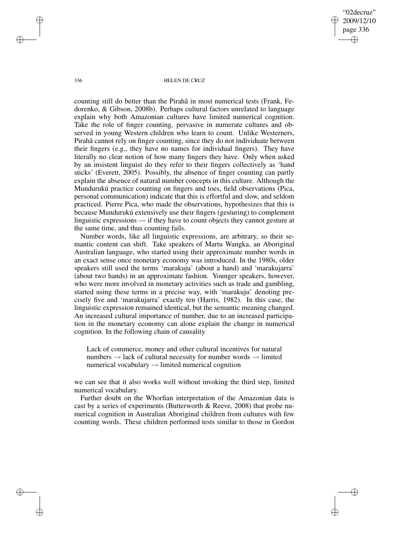"02decruz" 2009/12/10 page 336 ✐ ✐

✐

✐

### 336 HELEN DE CRUZ

counting still do better than the Pirahã in most numerical tests (Frank, Fedorenko, & Gibson, 2008b). Perhaps cultural factors unrelated to language explain why both Amazonian cultures have limited numerical cognition. Take the role of finger counting, pervasive in numerate cultures and observed in young Western children who learn to count. Unlike Westerners, Pirahã cannot rely on finger counting, since they do not individuate between their fingers (e.g., they have no names for individual fingers). They have literally no clear notion of how many fingers they have. Only when asked by an insistent linguist do they refer to their fingers collectively as 'hand sticks' (Everett, 2005). Possibly, the absence of finger counting can partly explain the absence of natural number concepts in this culture. Although the Mundurukú practice counting on fingers and toes, field observations (Pica, personal communication) indicate that this is effortful and slow, and seldom practiced. Pierre Pica, who made the observations, hypothesizes that this is because Mundurukú extensively use their fingers (gesturing) to complement linguistic expressions — if they have to count objects they cannot gesture at the same time, and thus counting fails.

Number words, like all linguistic expressions, are arbitrary, so their semantic content can shift. Take speakers of Martu Wangka, an Aboriginal Australian language, who started using their approximate number words in an exact sense once monetary economy was introduced. In the 1980s, older speakers still used the terms 'marakuju' (about a hand) and 'marakujarra' (about two hands) in an approximate fashion. Younger speakers, however, who were more involved in monetary activities such as trade and gambling, started using these terms in a precise way, with 'marakuju' denoting precisely five and 'marakujarra' exactly ten (Harris, 1982). In this case, the linguistic expression remained identical, but the semantic meaning changed. An increased cultural importance of number, due to an increased participation in the monetary economy can alone explain the change in numerical cognition. In the following chain of causality

Lack of commerce, money and other cultural incentives for natural numbers  $\rightarrow$  lack of cultural necessity for number words  $\rightarrow$  limited numerical vocabulary  $\rightarrow$  limited numerical cognition

we can see that it also works well without invoking the third step, limited numerical vocabulary.

Further doubt on the Whorfian interpretation of the Amazonian data is cast by a series of experiments (Butterworth & Reeve, 2008) that probe numerical cognition in Australian Aboriginal children from cultures with few counting words. These children performed tests similar to those in Gordon

✐

✐

✐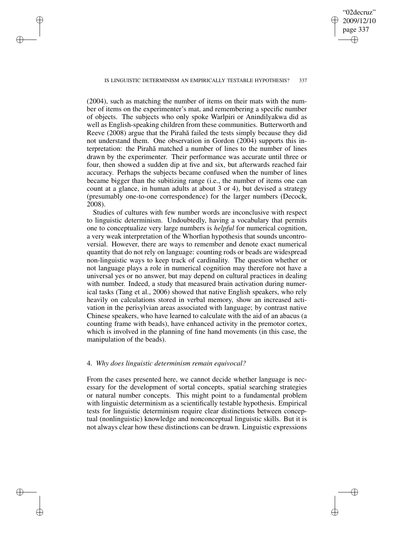"02decruz" 2009/12/10 page 337 ✐ ✐

✐

✐

### IS LINGUISTIC DETERMINISM AN EMPIRICALLY TESTABLE HYPOTHESIS? 337

✐

✐

✐

✐

(2004), such as matching the number of items on their mats with the number of items on the experimenter's mat, and remembering a specific number of objects. The subjects who only spoke Warlpiri or Anindilyakwa did as well as English-speaking children from these communities. Butterworth and Reeve (2008) argue that the Pirahã failed the tests simply because they did not understand them. One observation in Gordon (2004) supports this interpretation: the Pirahã matched a number of lines to the number of lines drawn by the experimenter. Their performance was accurate until three or four, then showed a sudden dip at five and six, but afterwards reached fair accuracy. Perhaps the subjects became confused when the number of lines became bigger than the subitizing range (i.e., the number of items one can count at a glance, in human adults at about 3 or 4), but devised a strategy (presumably one-to-one correspondence) for the larger numbers (Decock, 2008).

Studies of cultures with few number words are inconclusive with respect to linguistic determinism. Undoubtedly, having a vocabulary that permits one to conceptualize very large numbers is *helpful* for numerical cognition, a very weak interpretation of the Whorfian hypothesis that sounds uncontroversial. However, there are ways to remember and denote exact numerical quantity that do not rely on language: counting rods or beads are widespread non-linguistic ways to keep track of cardinality. The question whether or not language plays a role in numerical cognition may therefore not have a universal yes or no answer, but may depend on cultural practices in dealing with number. Indeed, a study that measured brain activation during numerical tasks (Tang et al., 2006) showed that native English speakers, who rely heavily on calculations stored in verbal memory, show an increased activation in the perisylvian areas associated with language; by contrast native Chinese speakers, who have learned to calculate with the aid of an abacus (a counting frame with beads), have enhanced activity in the premotor cortex, which is involved in the planning of fine hand movements (in this case, the manipulation of the beads).

### 4. *Why does linguistic determinism remain equivocal?*

From the cases presented here, we cannot decide whether language is necessary for the development of sortal concepts, spatial searching strategies or natural number concepts. This might point to a fundamental problem with linguistic determinism as a scientifically testable hypothesis. Empirical tests for linguistic determinism require clear distinctions between conceptual (nonlinguistic) knowledge and nonconceptual linguistic skills. But it is not always clear how these distinctions can be drawn. Linguistic expressions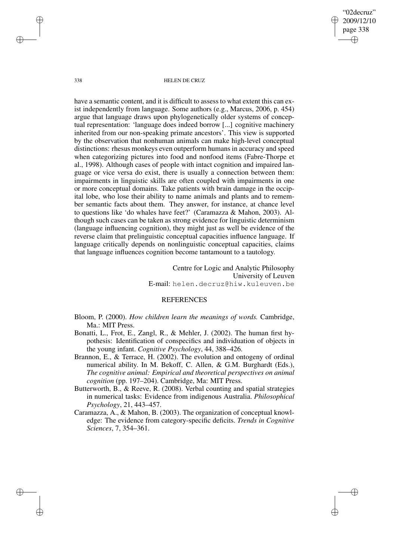"02decruz" 2009/12/10 page 338 ✐ ✐

✐

✐

### 338 HELEN DE CRUZ

have a semantic content, and it is difficult to assess to what extent this can exist independently from language. Some authors (e.g., Marcus, 2006, p. 454) argue that language draws upon phylogenetically older systems of conceptual representation: 'language does indeed borrow [...] cognitive machinery inherited from our non-speaking primate ancestors'. This view is supported by the observation that nonhuman animals can make high-level conceptual distinctions: rhesus monkeys even outperform humans in accuracy and speed when categorizing pictures into food and nonfood items (Fabre-Thorpe et al., 1998). Although cases of people with intact cognition and impaired language or vice versa do exist, there is usually a connection between them: impairments in linguistic skills are often coupled with impairments in one or more conceptual domains. Take patients with brain damage in the occipital lobe, who lose their ability to name animals and plants and to remember semantic facts about them. They answer, for instance, at chance level to questions like 'do whales have feet?' (Caramazza & Mahon, 2003). Although such cases can be taken as strong evidence for linguistic determinism (language influencing cognition), they might just as well be evidence of the reverse claim that prelinguistic conceptual capacities influence language. If language critically depends on nonlinguistic conceptual capacities, claims that language influences cognition become tantamount to a tautology.

> Centre for Logic and Analytic Philosophy University of Leuven E-mail: helen.decruz@hiw.kuleuven.be

### REFERENCES

- Bloom, P. (2000). *How children learn the meanings of words.* Cambridge, Ma.: MIT Press.
- Bonatti, L., Frot, E., Zangl, R., & Mehler, J. (2002). The human first hypothesis: Identification of conspecifics and individuation of objects in the young infant. *Cognitive Psychology*, 44, 388–426.
- Brannon, E., & Terrace, H. (2002). The evolution and ontogeny of ordinal numerical ability. In M. Bekoff, C. Allen, & G.M. Burghardt (Eds.), *The cognitive animal: Empirical and theoretical perspectives on animal cognition* (pp. 197–204). Cambridge, Ma: MIT Press.
- Butterworth, B., & Reeve, R. (2008). Verbal counting and spatial strategies in numerical tasks: Evidence from indigenous Australia. *Philosophical Psychology*, 21, 443–457.
- Caramazza, A., & Mahon, B. (2003). The organization of conceptual knowledge: The evidence from category-specific deficits. *Trends in Cognitive Sciences*, 7, 354–361.

✐

✐

✐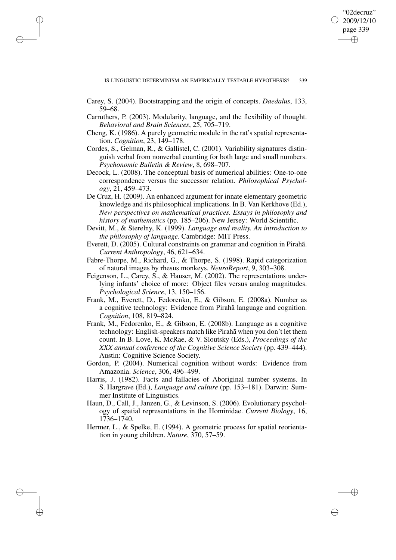✐

✐

Carey, S. (2004). Bootstrapping and the origin of concepts. *Daedalus*, 133, 59–68.

✐

✐

✐

- Carruthers, P. (2003). Modularity, language, and the flexibility of thought. *Behavioral and Brain Sciences*, 25, 705–719.
- Cheng, K. (1986). A purely geometric module in the rat's spatial representation. *Cognition*, 23, 149–178.
- Cordes, S., Gelman, R., & Gallistel, C. (2001). Variability signatures distinguish verbal from nonverbal counting for both large and small numbers. *Psychonomic Bulletin & Review*, 8, 698–707.
- Decock, L. (2008). The conceptual basis of numerical abilities: One-to-one correspondence versus the successor relation. *Philosophical Psychology*, 21, 459–473.
- De Cruz, H. (2009). An enhanced argument for innate elementary geometric knowledge and its philosophical implications. In B. Van Kerkhove (Ed.), *New perspectives on mathematical practices. Essays in philosophy and history of mathematics* (pp. 185–206). New Jersey: World Scientific.
- Devitt, M., & Sterelny, K. (1999). *Language and reality. An introduction to the philosophy of language.* Cambridge: MIT Press.
- Everett, D. (2005). Cultural constraints on grammar and cognition in Pirahã. *Current Anthropology*, 46, 621–634.
- Fabre-Thorpe, M., Richard, G., & Thorpe, S. (1998). Rapid categorization of natural images by rhesus monkeys. *NeuroReport*, 9, 303–308.
- Feigenson, L., Carey, S., & Hauser, M. (2002). The representations underlying infants' choice of more: Object files versus analog magnitudes. *Psychological Science*, 13, 150–156.
- Frank, M., Everett, D., Fedorenko, E., & Gibson, E. (2008a). Number as a cognitive technology: Evidence from Pirahã language and cognition. *Cognition*, 108, 819–824.
- Frank, M., Fedorenko, E., & Gibson, E. (2008b). Language as a cognitive technology: English-speakers match like Pirahã when you don't let them count. In B. Love, K. McRae, & V. Sloutsky (Eds.), *Proceedings of the XXX annual conference of the Cognitive Science Society* (pp. 439–444). Austin: Cognitive Science Society.
- Gordon, P. (2004). Numerical cognition without words: Evidence from Amazonia. *Science*, 306, 496–499.
- Harris, J. (1982). Facts and fallacies of Aboriginal number systems. In S. Hargrave (Ed.), *Language and culture* (pp. 153–181). Darwin: Summer Institute of Linguistics.
- Haun, D., Call, J., Janzen, G., & Levinson, S. (2006). Evolutionary psychology of spatial representations in the Hominidae. *Current Biology*, 16, 1736–1740.
- Hermer, L., & Spelke, E. (1994). A geometric process for spatial reorientation in young children. *Nature*, 370, 57–59.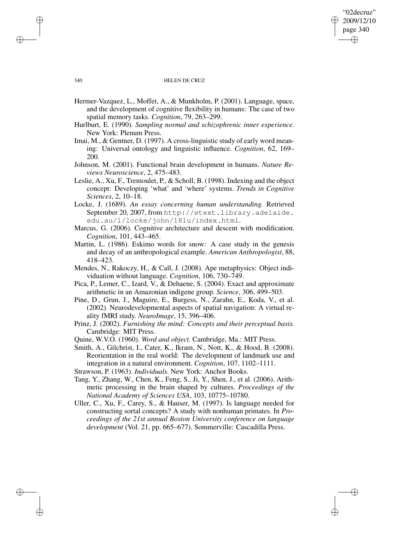## "02decruz" 2009/12/10 page 340 ✐ ✐

✐

✐

### 340 HELEN DE CRUZ

- Hermer-Vazquez, L., Moffet, A., & Munkholm, P. (2001). Language, space, and the development of cognitive flexibility in humans: The case of two spatial memory tasks. *Cognition*, 79, 263–299.
- Hurlburt, E. (1990). *Sampling normal and schizophrenic inner experience.* New York: Plenum Press.
- Imai, M., & Gentner, D. (1997). A cross-linguistic study of early word meaning: Universal ontology and linguistic influence. *Cognition*, 62, 169– 200.
- Johnson, M. (2001). Functional brain development in humans. *Nature Reviews Neuroscience*, 2, 475–483.
- Leslie, A., Xu, F., Tremoulet, P., & Scholl, B. (1998). Indexing and the object concept: Developing 'what' and 'where' systems. *Trends in Cognitive Sciences*, 2, 10–18.
- Locke, J. (1689). *An essay concerning human understanding.* Retrieved September 20, 2007, from http://etext.library.adelaide. edu.au/l/locke/john/181u/index.html.
- Marcus, G. (2006). Cognitive architecture and descent with modification. *Cognition*, 101, 443–465.
- Martin, L. (1986). Eskimo words for snow: A case study in the genesis and decay of an anthropological example. *American Anthropologist*, 88, 418–423.
- Mendes, N., Rakoczy, H., & Call, J. (2008). Ape metaphysics: Object individuation without language. *Cognition*, 106, 730–749.
- Pica, P., Lemer, C., Izard, V., & Dehaene, S. (2004). Exact and approximate arithmetic in an Amazonian indigene group. *Science*, 306, 499–503.
- Pine, D., Grun, J., Maguire, E., Burgess, N., Zarahn, E., Koda, V., et al. (2002). Neurodevelopmental aspects of spatial navigation: A virtual reality fMRI study. *NeuroImage*, 15, 396–406.
- Prinz, J. (2002). *Furnishing the mind: Concepts and their perceptual basis.* Cambridge: MIT Press.
- Quine, W.V.O. (1960). *Word and object.* Cambridge, Ma.: MIT Press.
- Smith, A., Gilchrist, I., Cater, K., Ikram, N., Nott, K., & Hood, B. (2008). Reorientation in the real world: The development of landmark use and integration in a natural environment. *Cognition*, 107, 1102–1111.

Strawson, P. (1963). *Individuals.* New York: Anchor Books.

- Tang, Y., Zhang, W., Chen, K., Feng, S., Ji, Y., Shen, J., et al. (2006). Arithmetic processing in the brain shaped by cultures. *Proceedings of the National Academy of Sciences USA*, 103, 10775–10780.
- Uller, C., Xu, F., Carey, S., & Hauser, M. (1997). Is language needed for constructing sortal concepts? A study with nonhuman primates. In *Proceedings of the 21st annual Boston University conference on language development* (Vol. 21, pp. 665–677). Sommerville: Cascadilla Press.

✐

✐

✐